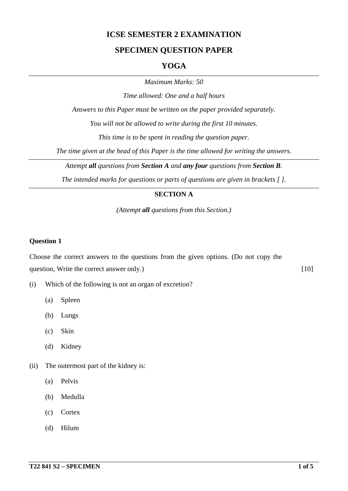## **ICSE SEMESTER 2 EXAMINATION**

## **SPECIMEN QUESTION PAPER**

#### **YOGA**

*Maximum Marks: 50*

*Time allowed: One and a half hours*

*Answers to this Paper must be written on the paper provided separately.*

*You will not be allowed to write during the first 10 minutes.*

*This time is to be spent in reading the question paper.*

*The time given at the head of this Paper is the time allowed for writing the answers.*

*Attempt all questions from Section A and any four questions from Section B.*

*The intended marks for questions or parts of questions are given in brackets [ ].*

#### **SECTION A**

*(Attempt all questions from this Section.)*

#### **Question 1**

Choose the correct answers to the questions from the given options. (Do not copy the question, Write the correct answer only.) [10]

- (i) Which of the following is not an organ of excretion?
	- (a) Spleen
	- (b) Lungs
	- (c) Skin
	- (d) Kidney
- (ii) The outermost part of the kidney is:
	- (a) Pelvis
	- (b) Medulla
	- (c) Cortex
	- (d) Hilum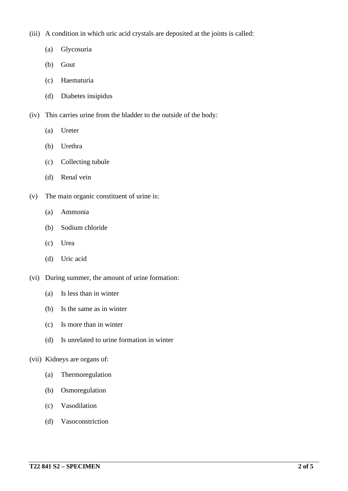- (iii) A condition in which uric acid crystals are deposited at the joints is called:
	- (a) Glycosuria
	- (b) Gout
	- (c) Haematuria
	- (d) Diabetes insipidus
- (iv) This carries urine from the bladder to the outside of the body:
	- (a) Ureter
	- (b) Urethra
	- (c) Collecting tubule
	- (d) Renal vein
- (v) The main organic constituent of urine is:
	- (a) Ammonia
	- (b) Sodium chloride
	- (c) Urea
	- (d) Uric acid
- (vi) During summer, the amount of urine formation:
	- (a) Is less than in winter
	- (b) Is the same as in winter
	- (c) Is more than in winter
	- (d) Is unrelated to urine formation in winter

#### (vii) Kidneys are organs of:

- (a) Thermoregulation
- (b) Osmoregulation
- (c) Vasodilation
- (d) Vasoconstriction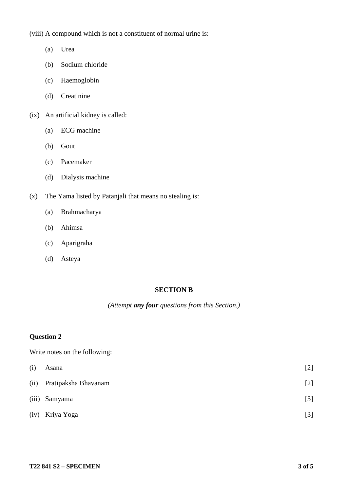(viii) A compound which is not a constituent of normal urine is:

- (a) Urea
- (b) Sodium chloride
- (c) Haemoglobin
- (d) Creatinine
- (ix) An artificial kidney is called:
	- (a) ECG machine
	- (b) Gout
	- (c) Pacemaker
	- (d) Dialysis machine
- (x) The Yama listed by Patanjali that means no stealing is:
	- (a) Brahmacharya
	- (b) Ahimsa
	- (c) Aparigraha
	- (d) Asteya

## **SECTION B**

*(Attempt any four questions from this Section.)*

#### **Question 2**

Write notes on the following:

| (i)   | Asana                | $[2]$ |
|-------|----------------------|-------|
| (ii)  | Pratipaksha Bhavanam | $[2]$ |
| (iii) | Samyama              | $[3]$ |
|       | (iv) Kriya Yoga      | $[3]$ |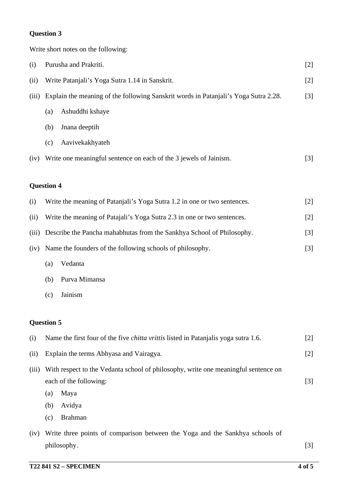## **Question 3**

Write short notes on the following:

| (i)   | Purusha and Prakriti.                                                               |                                                                                            | $[2]$ |  |
|-------|-------------------------------------------------------------------------------------|--------------------------------------------------------------------------------------------|-------|--|
| (ii)  | Write Patanjali's Yoga Sutra 1.14 in Sanskrit.                                      |                                                                                            |       |  |
| (iii) | Explain the meaning of the following Sanskrit words in Patanjali's Yoga Sutra 2.28. |                                                                                            |       |  |
|       | (a)                                                                                 | Ashuddhi kshaye                                                                            |       |  |
|       | (b)                                                                                 | Jnana deeptih                                                                              |       |  |
|       | (c)                                                                                 | Aavivekakhyateh                                                                            |       |  |
| (iv)  |                                                                                     | Write one meaningful sentence on each of the 3 jewels of Jainism.                          | $[3]$ |  |
|       | <b>Question 4</b>                                                                   |                                                                                            |       |  |
| (i)   |                                                                                     | Write the meaning of Patanjali's Yoga Sutra 1.2 in one or two sentences.                   | $[2]$ |  |
| (ii)  |                                                                                     | Write the meaning of Patajali's Yoga Sutra 2.3 in one or two sentences.                    | $[2]$ |  |
| (iii) | Describe the Pancha mahabhutas from the Sankhya School of Philosophy.               |                                                                                            |       |  |
| (iv)  | Name the founders of the following schools of philosophy.                           |                                                                                            | $[3]$ |  |
|       | (a)                                                                                 | Vedanta                                                                                    |       |  |
|       | (b)                                                                                 | Purva Mimansa                                                                              |       |  |
|       | (c)                                                                                 | Jainism                                                                                    |       |  |
|       | <b>Question 5</b>                                                                   |                                                                                            |       |  |
| (i)   |                                                                                     | Name the first four of the five <i>chitta vrittis</i> listed in Patanjalis yoga sutra 1.6. | $[2]$ |  |
| (ii)  | Explain the terms Abhyasa and Vairagya.                                             |                                                                                            | $[2]$ |  |
| (iii) | With respect to the Vedanta school of philosophy, write one meaningful sentence on  |                                                                                            |       |  |
|       | each of the following:<br>$[3]$                                                     |                                                                                            |       |  |
|       | (a)                                                                                 | Maya                                                                                       |       |  |
|       | (b)                                                                                 | Avidya                                                                                     |       |  |
|       | (c)                                                                                 | <b>Brahman</b>                                                                             |       |  |